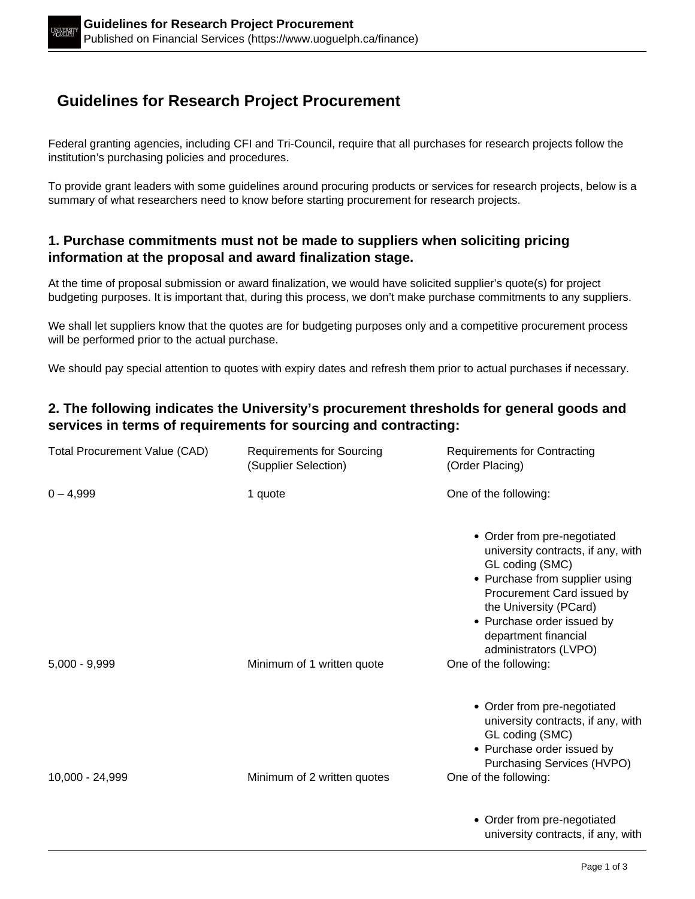# **Guidelines for Research Project Procurement**

Federal granting agencies, including CFI and Tri-Council, require that all purchases for research projects follow the institution's purchasing policies and procedures.

To provide grant leaders with some guidelines around procuring products or services for research projects, below is a summary of what researchers need to know before starting procurement for research projects.

#### **1. Purchase commitments must not be made to suppliers when soliciting pricing information at the proposal and award finalization stage.**

At the time of proposal submission or award finalization, we would have solicited supplier's quote(s) for project budgeting purposes. It is important that, during this process, we don't make purchase commitments to any suppliers.

We shall let suppliers know that the quotes are for budgeting purposes only and a competitive procurement process will be performed prior to the actual purchase.

We should pay special attention to quotes with expiry dates and refresh them prior to actual purchases if necessary.

#### **2. The following indicates the University's procurement thresholds for general goods and services in terms of requirements for sourcing and contracting:**

| <b>Total Procurement Value (CAD)</b> | <b>Requirements for Sourcing</b><br>(Supplier Selection) | <b>Requirements for Contracting</b><br>(Order Placing)                                                                                                                                                                                                                                 |
|--------------------------------------|----------------------------------------------------------|----------------------------------------------------------------------------------------------------------------------------------------------------------------------------------------------------------------------------------------------------------------------------------------|
| $0 - 4,999$                          | 1 quote                                                  | One of the following:                                                                                                                                                                                                                                                                  |
| $5,000 - 9,999$                      | Minimum of 1 written quote                               | • Order from pre-negotiated<br>university contracts, if any, with<br>GL coding (SMC)<br>• Purchase from supplier using<br>Procurement Card issued by<br>the University (PCard)<br>• Purchase order issued by<br>department financial<br>administrators (LVPO)<br>One of the following: |
| 10,000 - 24,999                      | Minimum of 2 written quotes                              | • Order from pre-negotiated<br>university contracts, if any, with<br>GL coding (SMC)<br>• Purchase order issued by<br>Purchasing Services (HVPO)<br>One of the following:                                                                                                              |
|                                      |                                                          | • Order from pre-negotiated<br>university contracts, if any, with                                                                                                                                                                                                                      |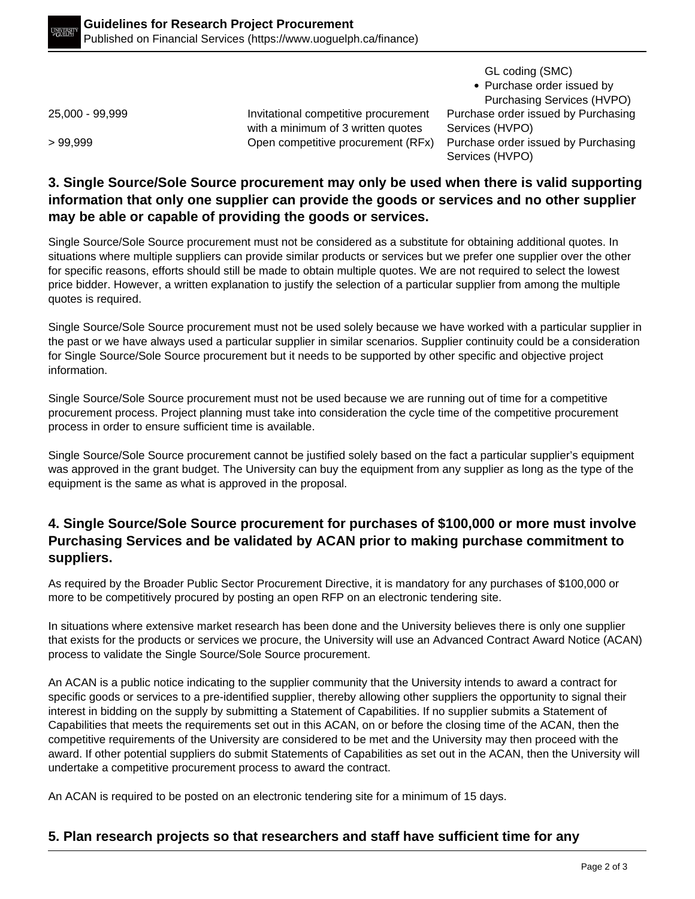GL coding (SMC)

• Purchase order issued by Purchasing Services (HVPO)

25,000 - 99,999 Invitational competitive procurement with a minimum of 3 written quotes

Purchase order issued by Purchasing Services (HVPO) > 99,999 Open competitive procurement (RFx) Purchase order issued by Purchasing Services (HVPO)

### **3. Single Source/Sole Source procurement may only be used when there is valid supporting information that only one supplier can provide the goods or services and no other supplier may be able or capable of providing the goods or services.**

Single Source/Sole Source procurement must not be considered as a substitute for obtaining additional quotes. In situations where multiple suppliers can provide similar products or services but we prefer one supplier over the other for specific reasons, efforts should still be made to obtain multiple quotes. We are not required to select the lowest price bidder. However, a written explanation to justify the selection of a particular supplier from among the multiple quotes is required.

Single Source/Sole Source procurement must not be used solely because we have worked with a particular supplier in the past or we have always used a particular supplier in similar scenarios. Supplier continuity could be a consideration for Single Source/Sole Source procurement but it needs to be supported by other specific and objective project information.

Single Source/Sole Source procurement must not be used because we are running out of time for a competitive procurement process. Project planning must take into consideration the cycle time of the competitive procurement process in order to ensure sufficient time is available.

Single Source/Sole Source procurement cannot be justified solely based on the fact a particular supplier's equipment was approved in the grant budget. The University can buy the equipment from any supplier as long as the type of the equipment is the same as what is approved in the proposal.

## **4. Single Source/Sole Source procurement for purchases of \$100,000 or more must involve Purchasing Services and be validated by ACAN prior to making purchase commitment to suppliers.**

As required by the Broader Public Sector Procurement Directive, it is mandatory for any purchases of \$100,000 or more to be competitively procured by posting an open RFP on an electronic tendering site.

In situations where extensive market research has been done and the University believes there is only one supplier that exists for the products or services we procure, the University will use an Advanced Contract Award Notice (ACAN) process to validate the Single Source/Sole Source procurement.

An ACAN is a public notice indicating to the supplier community that the University intends to award a contract for specific goods or services to a pre-identified supplier, thereby allowing other suppliers the opportunity to signal their interest in bidding on the supply by submitting a Statement of Capabilities. If no supplier submits a Statement of Capabilities that meets the requirements set out in this ACAN, on or before the closing time of the ACAN, then the competitive requirements of the University are considered to be met and the University may then proceed with the award. If other potential suppliers do submit Statements of Capabilities as set out in the ACAN, then the University will undertake a competitive procurement process to award the contract.

An ACAN is required to be posted on an electronic tendering site for a minimum of 15 days.

## **5. Plan research projects so that researchers and staff have sufficient time for any**